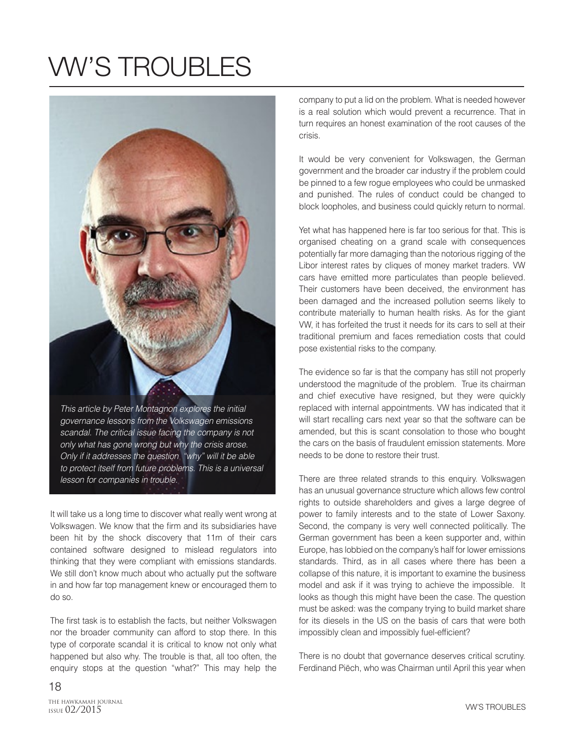## VW'S TROUBLES

This article by Peter Montagnon explores the initial governance lessons from the Volkswagen emissions scandal. The critical issue facing the company is not

only what has gone wrong but why the crisis arose. Only if it addresses the question "why" will it be able to protect itself from future problems. This is a universal lesson for companies in trouble.

It will take us a long time to discover what really went wrong at Volkswagen. We know that the firm and its subsidiaries have been hit by the shock discovery that 11m of their cars contained software designed to mislead regulators into thinking that they were compliant with emissions standards. We still don't know much about who actually put the software in and how far top management knew or encouraged them to do so.

The first task is to establish the facts, but neither Volkswagen nor the broader community can afford to stop there. In this type of corporate scandal it is critical to know not only what happened but also why. The trouble is that, all too often, the enquiry stops at the question "what?" This may help the

company to put a lid on the problem. What is needed however is a real solution which would prevent a recurrence. That in turn requires an honest examination of the root causes of the crisis.

It would be very convenient for Volkswagen, the German government and the broader car industry if the problem could be pinned to a few rogue employees who could be unmasked and punished. The rules of conduct could be changed to block loopholes, and business could quickly return to normal.

Yet what has happened here is far too serious for that. This is organised cheating on a grand scale with consequences potentially far more damaging than the notorious rigging of the Libor interest rates by cliques of money market traders. VW cars have emitted more particulates than people believed. Their customers have been deceived, the environment has been damaged and the increased pollution seems likely to contribute materially to human health risks. As for the giant VW, it has forfeited the trust it needs for its cars to sell at their traditional premium and faces remediation costs that could pose existential risks to the company.

The evidence so far is that the company has still not properly understood the magnitude of the problem. True its chairman and chief executive have resigned, but they were quickly replaced with internal appointments. VW has indicated that it will start recalling cars next year so that the software can be amended, but this is scant consolation to those who bought the cars on the basis of fraudulent emission statements. More needs to be done to restore their trust.

There are three related strands to this enquiry. Volkswagen has an unusual governance structure which allows few control rights to outside shareholders and gives a large degree of power to family interests and to the state of Lower Saxony. Second, the company is very well connected politically. The German government has been a keen supporter and, within Europe, has lobbied on the company's half for lower emissions standards. Third, as in all cases where there has been a collapse of this nature, it is important to examine the business model and ask if it was trying to achieve the impossible. It looks as though this might have been the case. The question must be asked: was the company trying to build market share for its diesels in the US on the basis of cars that were both impossibly clean and impossibly fuel-efficient?

There is no doubt that governance deserves critical scrutiny. Ferdinand Piëch, who was Chairman until April this year when

THE HAWKAMAH JOURNAL<br>1setie 02/2015 ISSUE 02/2015

18